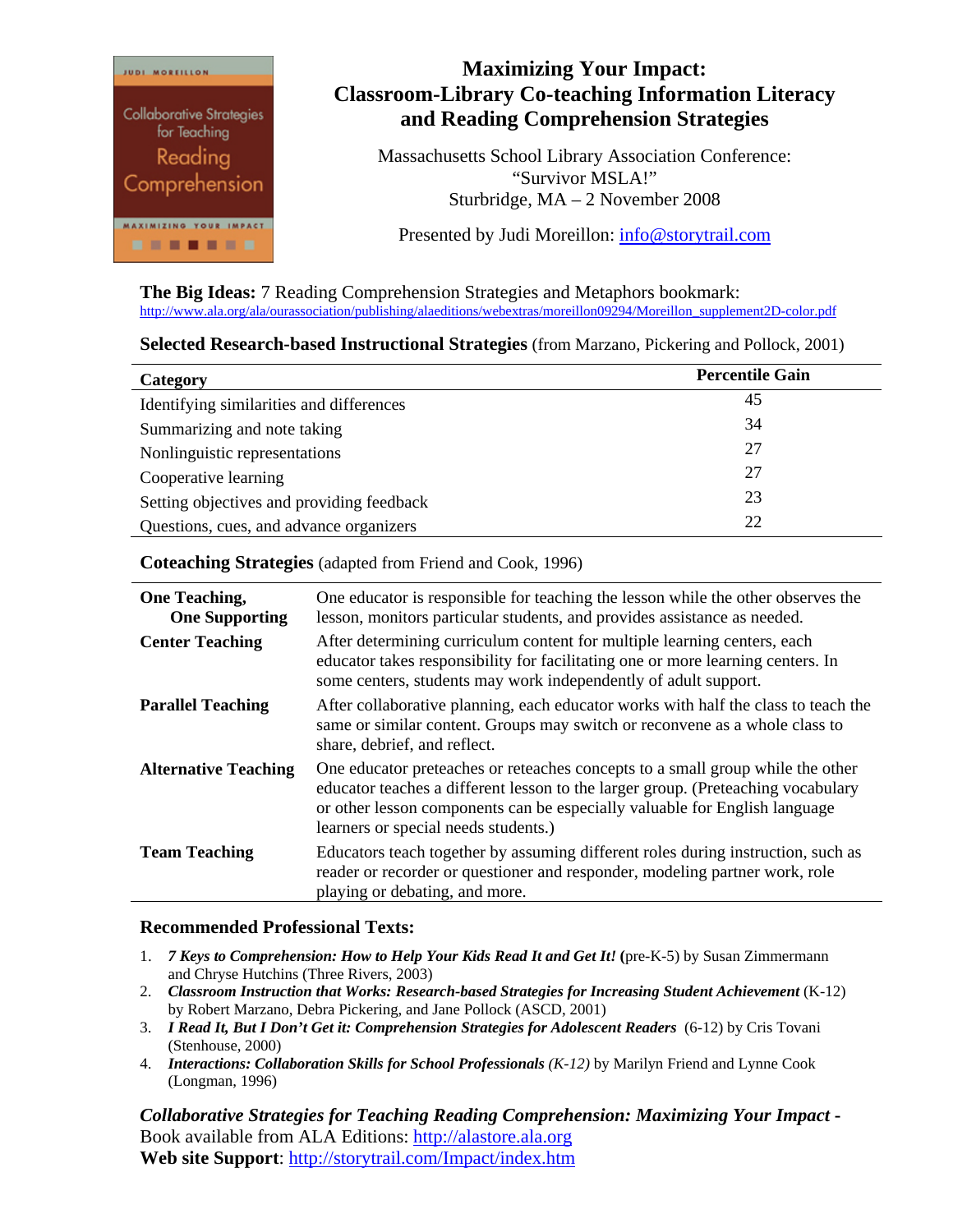

## **Maximizing Your Impact: Classroom-Library Co-teaching Information Literacy and Reading Comprehension Strategies**

Massachusetts School Library Association Conference: "Survivor MSLA!" Sturbridge, MA – 2 November 2008

Presented by Judi Moreillon: [info@storytrail.com](mailto:info@storytrail.com)

**The Big Ideas:** 7 Reading Comprehension Strategies and Metaphors bookmark: [http://www.ala.org/ala/ourassociation/publishing/alaeditions/webextras/moreillon09294/Moreillon\\_supplement2D-color.pdf](http://www.ala.org/ala/ourassociation/publishing/alaeditions/webextras/moreillon09294/Moreillon_supplement2D-color.pdf)

## **Selected Research-based Instructional Strategies** (from Marzano, Pickering and Pollock, 2001)

| Category                                        | <b>Percentile Gain</b> |
|-------------------------------------------------|------------------------|
| Identifying similarities and differences        | 45                     |
| Summarizing and note taking                     | 34                     |
| Nonlinguistic representations                   | 27                     |
| Cooperative learning                            | 27                     |
| 23<br>Setting objectives and providing feedback |                        |
| 22<br>Questions, cues, and advance organizers   |                        |

**Coteaching Strategies** (adapted from Friend and Cook, 1996)

| <b>One Teaching,</b><br><b>One Supporting</b> | One educator is responsible for teaching the lesson while the other observes the<br>lesson, monitors particular students, and provides assistance as needed.                                                                                                                             |
|-----------------------------------------------|------------------------------------------------------------------------------------------------------------------------------------------------------------------------------------------------------------------------------------------------------------------------------------------|
| <b>Center Teaching</b>                        | After determining curriculum content for multiple learning centers, each<br>educator takes responsibility for facilitating one or more learning centers. In<br>some centers, students may work independently of adult support.                                                           |
| <b>Parallel Teaching</b>                      | After collaborative planning, each educator works with half the class to teach the<br>same or similar content. Groups may switch or reconvene as a whole class to<br>share, debrief, and reflect.                                                                                        |
| <b>Alternative Teaching</b>                   | One educator preteaches or reteaches concepts to a small group while the other<br>educator teaches a different lesson to the larger group. (Preteaching vocabulary<br>or other lesson components can be especially valuable for English language<br>learners or special needs students.) |
| <b>Team Teaching</b>                          | Educators teach together by assuming different roles during instruction, such as<br>reader or recorder or questioner and responder, modeling partner work, role<br>playing or debating, and more.                                                                                        |

## **Recommended Professional Texts:**

- 1. *7 Keys to Comprehension: How to Help Your Kids Read It and Get It!* **(**pre-K-5) by Susan Zimmermann and Chryse Hutchins (Three Rivers, 2003)
- 2. *Classroom Instruction that Works: Research-based Strategies for Increasing Student Achievement* (K-12) by Robert Marzano, Debra Pickering, and Jane Pollock (ASCD, 2001)
- 3. *I Read It, But I Don't Get it: Comprehension Strategies for Adolescent Readers* (6-12) by Cris Tovani (Stenhouse, 2000)
- 4. *Interactions: Collaboration Skills for School Professionals (K-12)* by Marilyn Friend and Lynne Cook (Longman, 1996)

*Collaborative Strategies for Teaching Reading Comprehension: Maximizing Your Impact* **-**  Book available from ALA Editions: [http://alastore.ala.org](http://alastore.ala.org/) **Web site Support**: <http://storytrail.com/Impact/index.htm>